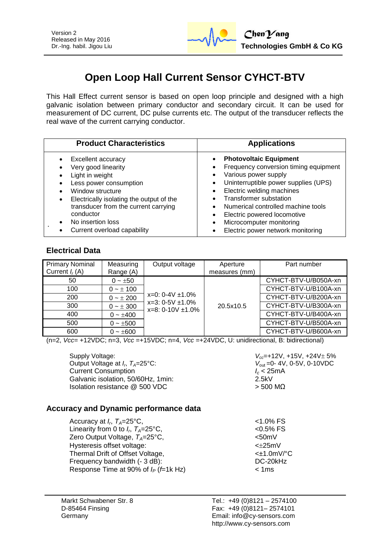

# **Open Loop Hall Current Sensor CYHCT-BTV**

This Hall Effect current sensor is based on open loop principle and designed with a high galvanic isolation between primary conductor and secondary circuit. It can be used for measurement of DC current, DC pulse currents etc. The output of the transducer reflects the real wave of the current carrying conductor.

| <b>Product Characteristics</b>           | <b>Applications</b>                   |
|------------------------------------------|---------------------------------------|
| Excellent accuracy                       | <b>Photovoltaic Equipment</b>         |
| Very good linearity                      | $\bullet$                             |
| Light in weight                          | Frequency conversion timing equipment |
| Less power consumption                   | Various power supply                  |
| Window structure                         | Uninterruptible power supplies (UPS)  |
| Electrically isolating the output of the | Electric welding machines             |
| $\bullet$                                | Transformer substation                |
| transducer from the current carrying     | Numerical controlled machine tools    |
| conductor                                | Electric powered locomotive           |
| No insertion loss                        | Microcomputer monitoring              |
| Current overload capability              | Electric power network monitoring     |

## **Electrical Data**

| <b>Primary Nominal</b> | Measuring     | Output voltage                                 | Aperture      | Part number          |
|------------------------|---------------|------------------------------------------------|---------------|----------------------|
| Current $I_r(A)$       | Range (A)     |                                                | measures (mm) |                      |
| 50                     | $0 - \pm 50$  |                                                |               | CYHCT-BTV-U/B050A-xn |
| 100                    | $0 - \pm 100$ |                                                |               | CYHCT-BTV-U/B100A-xn |
| 200                    | $0 - \pm 200$ | $x=0$ : 0-4V $\pm$ 1.0%                        |               | CYHCT-BTV-U/B200A-xn |
| 300                    | $0 - \pm 300$ | $x=3:0-5V \pm 1.0\%$<br>$x=8: 0-10V \pm 1.0\%$ | 20.5x10.5     | CYHCT-BTV-U/B300A-xn |
| 400                    | $0 - \pm 400$ |                                                |               | CYHCT-BTV-U/B400A-xn |
| 500                    | $0 - \pm 500$ |                                                |               | CYHCT-BTV-U/B500A-xn |
| 600                    | $0 - \pm 600$ |                                                |               | CYHCT-BTV-U/B600A-xn |

(n=2, *Vcc*= +12VDC; n=3, *Vcc* =+15VDC; n=4, *Vcc* =+24VDC, U: unidirectional, B: bidirectional)

Supply Voltage: *V<sub>cc</sub>***=+12V, +15V, +24V** ± 5% Output Voltage at *I<sub>p</sub>*  $T_a=25^{\circ}$ C: Current Consumption *I<sub>c</sub>* **< 25<br>Galvanic isolation, 50/60Hz, 1min: <b>***I* 2.5kV Galvanic isolation, 50/60Hz, 1min: Isolation resistance  $\textcircled{2}$  500 VDC  $>$  500 MΩ

*V*<sub>out</sub> = 0-4V, 0-5V, 0-10VDC<br>*I<sub>c</sub>* < 25mA

## **Accuracy and Dynamic performance data**

| Accuracy at $I_r$ , $T_A=25^{\circ}C$ ,<br>Linearity from 0 to $I_{r}$ , $T_{A}=25^{\circ}$ C, | $< 1.0\%$ FS<br>$< 0.5%$ FS |
|------------------------------------------------------------------------------------------------|-----------------------------|
| Zero Output Voltage, $T_A = 25^{\circ}C$ ,                                                     | $< 50$ m $V$                |
| Hysteresis offset voltage:                                                                     | $<\pm 25$ mV                |
| Thermal Drift of Offset Voltage,                                                               | $<\pm$ 1.0mV/°C             |
| Frequency bandwidth (- 3 dB):                                                                  | DC-20kHz                    |
| Response Time at 90% of $I_P$ (f=1k Hz)                                                        | < 1ms                       |